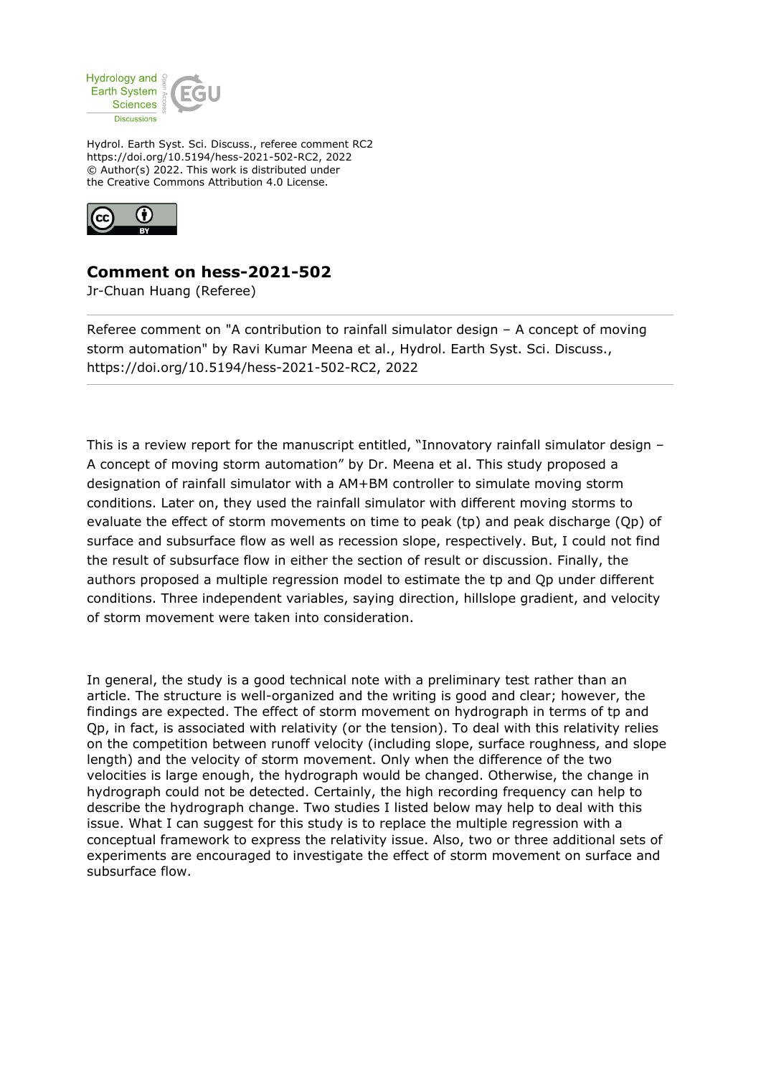

Hydrol. Earth Syst. Sci. Discuss., referee comment RC2 https://doi.org/10.5194/hess-2021-502-RC2, 2022 © Author(s) 2022. This work is distributed under the Creative Commons Attribution 4.0 License.



## **Comment on hess-2021-502**

Jr-Chuan Huang (Referee)

Referee comment on "A contribution to rainfall simulator design – A concept of moving storm automation" by Ravi Kumar Meena et al., Hydrol. Earth Syst. Sci. Discuss., https://doi.org/10.5194/hess-2021-502-RC2, 2022

This is a review report for the manuscript entitled, "Innovatory rainfall simulator design – A concept of moving storm automation" by Dr. Meena et al. This study proposed a designation of rainfall simulator with a AM+BM controller to simulate moving storm conditions. Later on, they used the rainfall simulator with different moving storms to evaluate the effect of storm movements on time to peak (tp) and peak discharge (Qp) of surface and subsurface flow as well as recession slope, respectively. But, I could not find the result of subsurface flow in either the section of result or discussion. Finally, the authors proposed a multiple regression model to estimate the tp and Qp under different conditions. Three independent variables, saying direction, hillslope gradient, and velocity of storm movement were taken into consideration.

In general, the study is a good technical note with a preliminary test rather than an article. The structure is well-organized and the writing is good and clear; however, the findings are expected. The effect of storm movement on hydrograph in terms of tp and Qp, in fact, is associated with relativity (or the tension). To deal with this relativity relies on the competition between runoff velocity (including slope, surface roughness, and slope length) and the velocity of storm movement. Only when the difference of the two velocities is large enough, the hydrograph would be changed. Otherwise, the change in hydrograph could not be detected. Certainly, the high recording frequency can help to describe the hydrograph change. Two studies I listed below may help to deal with this issue. What I can suggest for this study is to replace the multiple regression with a conceptual framework to express the relativity issue. Also, two or three additional sets of experiments are encouraged to investigate the effect of storm movement on surface and subsurface flow.